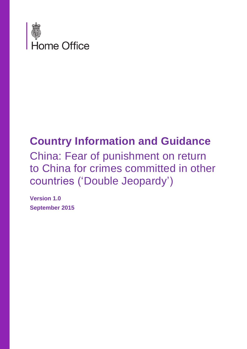

## **Country Information and Guidance**

China: Fear of punishment on return to China for crimes committed in other countries ('Double Jeopardy')

**Version 1.0 September 2015**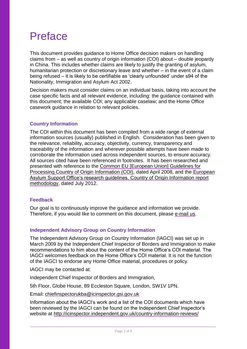### Preface

This document provides guidance to Home Office decision makers on handling claims from – as well as country of origin information (COI) about – double jeopardy in China. This includes whether claims are likely to justify the granting of asylum, humanitarian protection or discretionary leave and whether – in the event of a claim being refused – it is likely to be certifiable as 'clearly unfounded' under s94 of the Nationality, Immigration and Asylum Act 2002.

Decision makers must consider claims on an individual basis, taking into account the case specific facts and all relevant evidence, including: the guidance contained with this document; the available COI; any applicable caselaw; and the Home Office casework guidance in relation to relevant policies.

#### **Country Information**

The COI within this document has been compiled from a wide range of external information sources (usually) published in English. Consideration has been given to the relevance, reliability, accuracy, objectivity, currency, transparency and traceability of the information and wherever possible attempts have been made to corroborate the information used across independent sources, to ensure accuracy. All sources cited have been referenced in footnotes. It has been researched and presented with reference to the Common EU [\[European Union\] Guidelines for](http://www.refworld.org/cgi-bin/texis/vtx/rwmain?page=search&docid=48493f7f2&skip=0&query=eu%20common%20guidelines%20on%20COi)  [Processing Country of Origin Information \(COI\),](http://www.refworld.org/cgi-bin/texis/vtx/rwmain?page=search&docid=48493f7f2&skip=0&query=eu%20common%20guidelines%20on%20COi) dated April 2008, and the European Asylum Support Office's research guidelines, [Country of Origin Information report](http://ec.europa.eu/dgs/home-affairs/what-we-do/policies/asylum/european-asylum-support-office/coireportmethodologyfinallayout_en.pdf)  [methodology,](http://ec.europa.eu/dgs/home-affairs/what-we-do/policies/asylum/european-asylum-support-office/coireportmethodologyfinallayout_en.pdf) dated July 2012.

#### **Feedback**

Our goal is to continuously improve the guidance and information we provide. Therefore, if you would like to comment on this document, please [e-mail us.](mailto:cois@homeoffice.gsi.gov.uk?subject=Feedback%20on%20CIG)

#### **Independent Advisory Group on Country Information**

The Independent Advisory Group on Country Information (IAGCI) was set up in March 2009 by the Independent Chief Inspector of Borders and Immigration to make recommendations to him about the content of the Home Office's COI material. The IAGCI welcomes feedback on the Home Office's COI material. It is not the function of the IAGCI to endorse any Home Office material, procedures or policy.

IAGCI may be contacted at:

Independent Chief Inspector of Borders and Immigration,

5th Floor, Globe House, 89 Eccleston Square, London, SW1V 1PN.

Email: [chiefinspectorukba@icinspector.gsi.gov.uk](mailto:chiefinspectorukba@icinspector.gsi.gov.uk)

Information about the IAGCI's work and a list of the COI documents which have been reviewed by the IAGCI can be found on the Independent Chief Inspector's website at<http://icinspector.independent.gov.uk/country-information-reviews/>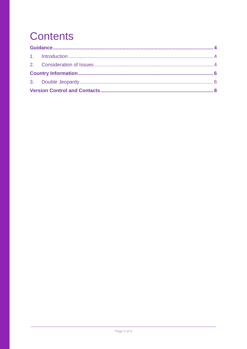# **Contents**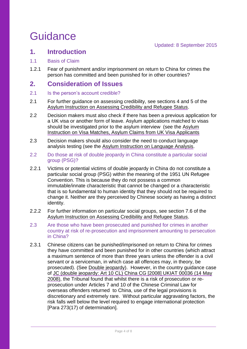## <span id="page-3-0"></span>**Guidance**

### <span id="page-3-1"></span>**1. Introduction**

- 1.1 Basis of Claim
- 1.2.1 Fear of punishment and/or imprisonment on return to China for crimes the person has committed and been punished for in other countries?

### <span id="page-3-2"></span>**2. Consideration of Issues**

- 2.1 Is the person's account credible?
- 2.1 For further guidance on assessing credibility, see sections 4 and 5 of the [Asylum Instruction on Assessing Credibility and Refugee Status.](https://www.gov.uk/government/publications/considering-asylum-claims-and-assessing-credibility-instruction)
- 2.2 Decision makers must also check if there has been a previous application for a UK visa or another form of leave. Asylum applications matched to visas should be investigated prior to the asylum interview (see the [Asylum](https://www.gov.uk/government/publications/visa-matches-handling-asylum-claims-from-uk-visa-applicants-instruction)  [Instruction on Visa Matches, Asylum Claims from UK Visa Applicants](https://www.gov.uk/government/publications/visa-matches-handling-asylum-claims-from-uk-visa-applicants-instruction)
- 2.3 Decision makers should also consider the need to conduct language analysis testing (see the [Asylum Instruction on Language Analysis.](https://www.gov.uk/government/publications/language-analysis-instruction)
- 2.2 Do those at risk of double jeopardy in China constitute a particular social group (PSG)?
- 2.2.1 Victims or potential victims of double jeopardy in China do not constitute a particular social group (PSG) within the meaning of the 1951 UN Refugee Convention. This is because they do not possess a common immutable/innate characteristic that cannot be changed or a characteristic that is so fundamental to human identity that they should not be required to change it. Neither are they perceived by Chinese society as having a distinct identity.
- 2.2.2 For further information on particular social groups, see section 7.6 of the [Asylum Instruction on Assessing Credibility and Refugee Status.](https://www.gov.uk/government/publications/considering-asylum-claims-and-assessing-credibility-instruction)
- 2.3 Are those who have been prosecuted and punished for crimes in another country at risk of re-prosecution and imprisonment amounting to persecution in China?
- 2.3.1 Chinese citizens can be punished/imprisoned on return to China for crimes they have committed and been punished for in other countries (which attract a maximum sentence of more than three years unless the offender is a civil servant or a serviceman, in which case all offences may, in theory, be prosecuted). (See [Double jeopardy\)](#page-5-1). However, in the country guidance case of [JC \(double jeopardy: Art 10 CL\) China CG \[2008\] UKIAT 00036](http://www.bailii.org/uk/cases/UKIAT/2008/00036.html) (14 May 2008), the Tribunal found that whilst there is a risk of prosecution or reprosecution under Articles 7 and 10 of the Chinese Criminal Law for overseas offenders returned to China, use of the legal provisions is discretionary and extremely rare. Without particular aggravating factors, the risk falls well below the level required to engage international protection [Para 273(17) of determination].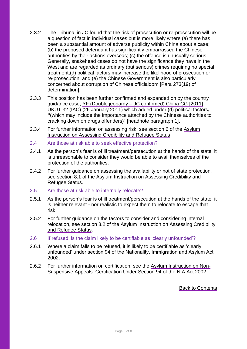- 2.3.2 The Tribunal in [JC](http://www.bailii.org/uk/cases/UKIAT/2008/00036.html) found that the risk of prosecution or re-prosecution will be a question of fact in individual cases but is more likely where (a) there has been a substantial amount of adverse publicity within China about a case; (b) the proposed defendant has significantly embarrassed the Chinese authorities by their actions overseas; (c) the offence is unusually serious. Generally, snakehead cases do not have the significance they have in the West and are regarded as ordinary (but serious) crimes requiring no special treatment;(d) political factors may increase the likelihood of prosecution or re-prosecution; and (e) the Chinese Government is also particularly concerned about corruption of Chinese officialdom [Para 273(19) of determination].
- 2.3.3 This position has been further confirmed and expanded on by the country guidance case, YF (Double jeopardy – [JC confirmed\) China CG \[2011\]](http://www.bailii.org/uk/cases/UKUT/IAC/2011/00032_ukut_iac_2011_yf_china_cg.html)  [UKUT 32 \(IAC\)](http://www.bailii.org/uk/cases/UKUT/IAC/2011/00032_ukut_iac_2011_yf_china_cg.html) (26 January 2011) which added under (d) political factors**, "**(which may include the importance attached by the Chinese authorities to cracking down on drugs offenders)" [headnote paragraph 1]**.**
- 2.3.4 For further information on assessing risk, see section 6 of the [Asylum](https://www.gov.uk/government/publications/considering-asylum-claims-and-assessing-credibility-instruction)  [Instruction on Assessing Credibility and Refugee Status.](https://www.gov.uk/government/publications/considering-asylum-claims-and-assessing-credibility-instruction)
- 2.4 Are those at risk able to seek effective protection?
- 2.4.1 As the person's fear is of ill treatment/persecution at the hands of the state, it is unreasonable to consider they would be able to avail themselves of the protection of the authorities.
- 2.4.2 For further guidance on assessing the availability or not of state protection, see section 8.1 of the [Asylum Instruction on Assessing Credibility and](https://www.gov.uk/government/publications/considering-asylum-claims-and-assessing-credibility-instruction)  [Refugee Status.](https://www.gov.uk/government/publications/considering-asylum-claims-and-assessing-credibility-instruction)
- 2.5 Are those at risk able to internally relocate?
- 2.5.1 As the person's fear is of ill treatment/persecution at the hands of the state, it is neither relevant - nor realistic to expect them to relocate to escape that risk.
- 2.5.2 For further guidance on the factors to consider and considering internal relocation, see section 8.2 of the [Asylum Instruction on Assessing Credibility](https://www.gov.uk/government/publications/considering-asylum-claims-and-assessing-credibility-instruction)  [and Refugee Status.](https://www.gov.uk/government/publications/considering-asylum-claims-and-assessing-credibility-instruction)
- 2.6 If refused, is the claim likely to be certifiable as 'clearly unfounded'?
- 2.6.1 Where a claim falls to be refused, it is likely to be certifiable as 'clearly unfounded' under section 94 of the Nationality, Immigration and Asylum Act 2002.
- 2.6.2 For further information on certification, see the [Asylum Instruction on Non-](https://www.gov.uk/government/publications/non-suspensive-appeals-certification-under-section-94-of-the-nia-act-2002-process)[Suspensive Appeals: Certification Under Section 94 of the NIA Act 2002.](https://www.gov.uk/government/publications/non-suspensive-appeals-certification-under-section-94-of-the-nia-act-2002-process)

Back to Contents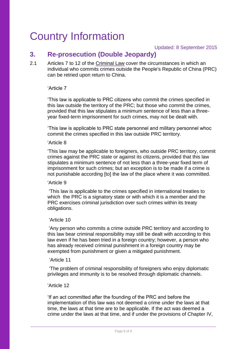## <span id="page-5-0"></span>Country Information

### <span id="page-5-1"></span>**3. Re-prosecution (Double Jeopardy)**

2.1 Articles 7 to 12 of the [Criminal Law](http://www.refworld.org/docid/3ae6b5cd2.html) cover the circumstances in which an individual who commits crimes outside the People's Republic of China (PRC) can be retried upon return to China.

#### 'Article 7

'This law is applicable to PRC citizens who commit the crimes specified in this law outside the territory of the PRC; but those who commit the crimes, provided that this law stipulates a minimum sentence of less than a threeyear fixed-term imprisonment for such crimes, may not be dealt with.

'This law is applicable to PRC state personnel and military personnel whoc commit the crimes specified in this law outside PRC territory.

#### 'Article 8

'This law may be applicable to foreigners, who outside PRC territory, commit crimes against the PRC state or against its citizens, provided that this law stipulates a minimum sentence of not less than a three-year fixed term of imprisonment for such crimes; but an exception is to be made if a crime is not punishable according [to] the law of the place where it was committed.

#### 'Article 9

'This law is applicable to the crimes specified in international treaties to which the PRC is a signatory state or with which it is a member and the PRC exercises criminal jurisdiction over such crimes within its treaty obligations.

#### 'Article 10

'Any person who commits a crime outside PRC territory and according to this law bear criminal responsibility may still be dealt with according to this law even if he has been tried in a foreign country; however, a person who has already received criminal punishment in a foreign country may be exempted from punishment or given a mitigated punishment.

#### 'Article 11

 'The problem of criminal responsibility of foreigners who enjoy diplomatic privileges and immunity is to be resolved through diplomatic channels.

#### 'Article 12

'If an act committed after the founding of the PRC and before the implementation of this law was not deemed a crime under the laws at that time, the laws at that time are to be applicable. If the act was deemed a crime under the laws at that time, and if under the provisions of Chapter IV,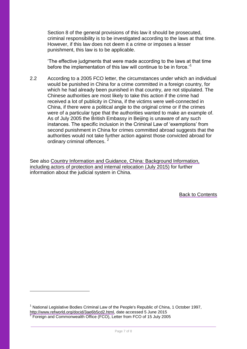Section 8 of the general provisions of this law it should be prosecuted, criminal responsibility is to be investigated according to the laws at that time. However, if this law does not deem it a crime or imposes a lesser punishment, this law is to be applicable.

'The effective judgments that were made according to the laws at that time before the implementation of this law will continue to be in force.<sup>1</sup>

2.2 According to a 2005 FCO letter, the circumstances under which an individual would be punished in China for a crime committed in a foreign country, for which he had already been punished in that country, are not stipulated. The Chinese authorities are most likely to take this action if the crime had received a lot of publicity in China, if the victims were well-connected in China, if there were a political angle to the original crime or if the crimes were of a particular type that the authorities wanted to make an example of. As of July 2005 the British Embassy in Beijing is unaware of any such instances. The specific inclusion in the Criminal Law of 'exemptions' from second punishment in China for crimes committed abroad suggests that the authorities would not take further action against those convicted abroad for ordinary criminal offences.<sup>2</sup>

See also [Country Information and Guidance, China: Background Information,](https://www.gov.uk/government/publications/china-country-information-and-guidance)  [including actors of protection and internal relocation \(July 2015\)](https://www.gov.uk/government/publications/china-country-information-and-guidance) for further information about the judicial system in China.

Back to Contents

<u>.</u>

<sup>&</sup>lt;sup>1</sup> National Legislative Bodies Criminal Law of the People's Republic of China, 1 October 1997, [http://www.refworld.org/docid/3ae6b5cd2.html,](http://www.refworld.org/docid/3ae6b5cd2.html) date accessed 5 June 2015<br>2 Essaine and Commonwealth Office (ECO), Latter from ECO of 15 July 200 Foreign and Commonwealth Office (FCO), Letter from FCO of 15 July 2005